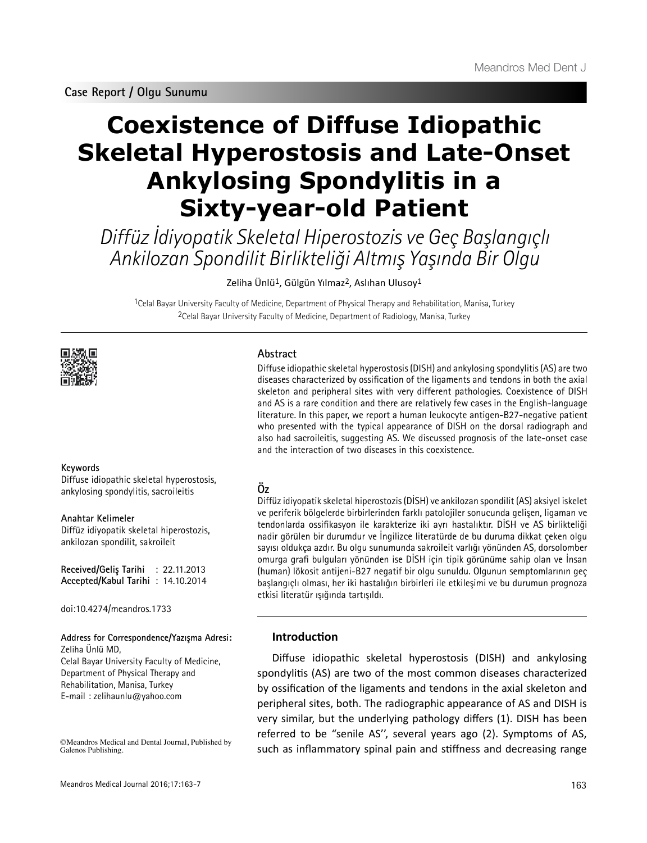**Case Report / Olgu Sunumu**

# **Coexistence of Diffuse Idiopathic Skeletal Hyperostosis and Late-Onset Ankylosing Spondylitis in a Sixty-year-old Patient**

Diffüz İdiyopatik Skeletal Hiperostozis ve Geç Başlangıçlı Ankilozan Spondilit Birlikteliği Altmış Yaşında Bir Olgu

Zeliha Ünlü1, Gülgün Yılmaz2, Aslıhan Ulusoy1

1Celal Bayar University Faculty of Medicine, Department of Physical Therapy and Rehabilitation, Manisa, Turkey 2Celal Bayar University Faculty of Medicine, Department of Radiology, Manisa, Turkey



#### **Keywords**

Diffuse idiopathic skeletal hyperostosis, ankylosing spondylitis, sacroileitis

**Anahtar Kelimeler** Diffüz idiyopatik skeletal hiperostozis, ankilozan spondilit, sakroileit

**Received/Geliş Tarihi** : 22.11.2013 **Accepted/Kabul Tarihi** : 14.10.2014

doi:10.4274/meandros.1733

E-mail : zelihaunlu@yahoo.com

**Address for Correspondence/Yazışma Adresi:** Zeliha Ünlü MD, Celal Bayar University Faculty of Medicine, Department of Physical Therapy and Rehabilitation, Manisa, Turkey

©Meandros Medical and Dental Journal, Published by Galenos Publishing.

#### **Abstract**

Diffuse idiopathic skeletal hyperostosis (DISH) and ankylosing spondylitis (AS) are two diseases characterized by ossification of the ligaments and tendons in both the axial skeleton and peripheral sites with very different pathologies. Coexistence of DISH and AS is a rare condition and there are relatively few cases in the English-language literature. In this paper, we report a human leukocyte antigen-B27-negative patient who presented with the typical appearance of DISH on the dorsal radiograph and also had sacroileitis, suggesting AS. We discussed prognosis of the late-onset case and the interaction of two diseases in this coexistence.

# **Öz**

Diffüz idiyopatik skeletal hiperostozis (DİSH) ve ankilozan spondilit (AS) aksiyel iskelet ve periferik bölgelerde birbirlerinden farklı patolojiler sonucunda gelişen, ligaman ve tendonlarda ossifikasyon ile karakterize iki ayrı hastalıktır. DİSH ve AS birlikteliği nadir görülen bir durumdur ve İngilizce literatürde de bu duruma dikkat çeken olgu sayısı oldukça azdır. Bu olgu sunumunda sakroileit varlığı yönünden AS, dorsolomber omurga grafi bulguları yönünden ise DİSH için tipik görünüme sahip olan ve İnsan (human) lökosit antijeni-B27 negatif bir olgu sunuldu. Olgunun semptomlarının geç başlangıçlı olması, her iki hastalığın birbirleri ile etkileşimi ve bu durumun prognoza etkisi literatür ışığında tartışıldı.

# **Introduction**

Diffuse idiopathic skeletal hyperostosis (DISH) and ankylosing spondylitis (AS) are two of the most common diseases characterized by ossification of the ligaments and tendons in the axial skeleton and peripheral sites, both. The radiographic appearance of AS and DISH is very similar, but the underlying pathology differs (1). DISH has been referred to be "senile AS'', several years ago (2). Symptoms of AS, such as inflammatory spinal pain and stiffness and decreasing range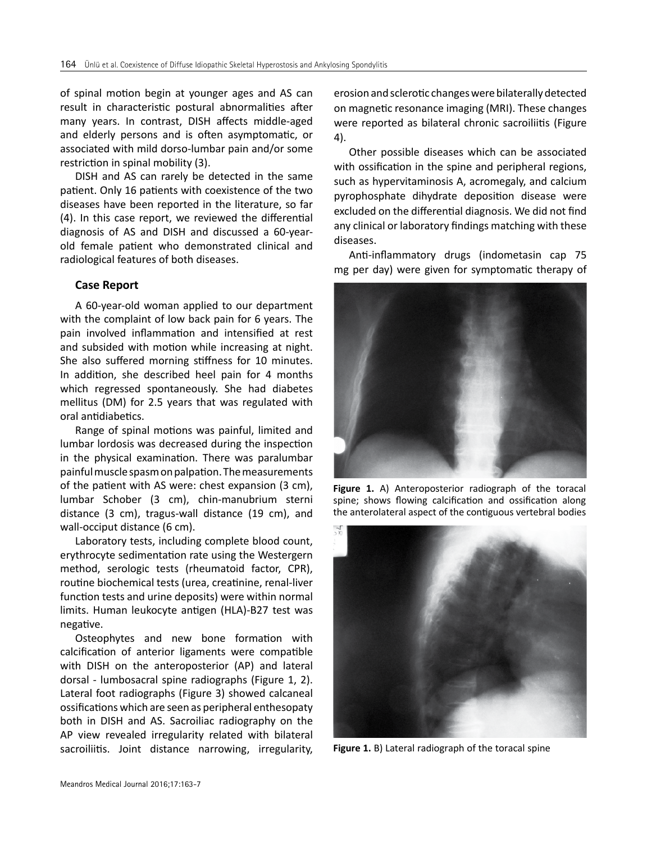of spinal motion begin at younger ages and AS can result in characteristic postural abnormalities after many years. In contrast, DISH affects middle-aged and elderly persons and is often asymptomatic, or associated with mild dorso-lumbar pain and/or some restriction in spinal mobility (3).

DISH and AS can rarely be detected in the same patient. Only 16 patients with coexistence of the two diseases have been reported in the literature, so far (4). In this case report, we reviewed the differential diagnosis of AS and DISH and discussed a 60-yearold female patient who demonstrated clinical and radiological features of both diseases.

#### **Case Report**

A 60-year-old woman applied to our department with the complaint of low back pain for 6 years. The pain involved inflammation and intensified at rest and subsided with motion while increasing at night. She also suffered morning stiffness for 10 minutes. In addition, she described heel pain for 4 months which regressed spontaneously. She had diabetes mellitus (DM) for 2.5 years that was regulated with oral antidiabetics.

Range of spinal motions was painful, limited and lumbar lordosis was decreased during the inspection in the physical examination. There was paralumbar painful muscle spasm on palpation. The measurements of the patient with AS were: chest expansion (3 cm), lumbar Schober (3 cm), chin-manubrium sterni distance (3 cm), tragus-wall distance (19 cm), and wall-occiput distance (6 cm).

Laboratory tests, including complete blood count, erythrocyte sedimentation rate using the Westergern method, serologic tests (rheumatoid factor, CPR), routine biochemical tests (urea, creatinine, renal-liver function tests and urine deposits) were within normal limits. Human leukocyte antigen (HLA)-B27 test was negative.

Osteophytes and new bone formation with calcification of anterior ligaments were compatible with DISH on the anteroposterior (AP) and lateral dorsal - lumbosacral spine radiographs (Figure 1, 2). Lateral foot radiographs (Figure 3) showed calcaneal ossifications which are seen as peripheral enthesopaty both in DISH and AS. Sacroiliac radiography on the AP view revealed irregularity related with bilateral sacroiliitis. Joint distance narrowing, irregularity,

erosion and sclerotic changes were bilaterally detected on magnetic resonance imaging (MRI). These changes were reported as bilateral chronic sacroiliitis (Figure 4).

Other possible diseases which can be associated with ossification in the spine and peripheral regions, such as hypervitaminosis A, acromegaly, and calcium pyrophosphate dihydrate deposition disease were excluded on the differential diagnosis. We did not find any clinical or laboratory findings matching with these diseases.

Anti-inflammatory drugs (indometasin cap 75 mg per day) were given for symptomatic therapy of



**Figure 1.** A) Anteroposterior radiograph of the toracal spine; shows flowing calcification and ossification along the anterolateral aspect of the contiguous vertebral bodies



**Figure 1.** B) Lateral radiograph of the toracal spine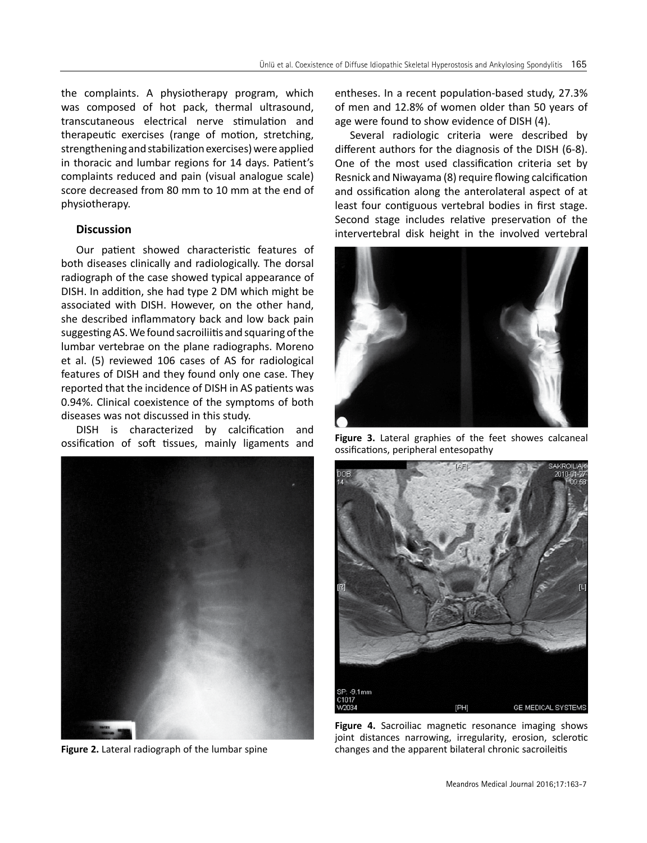the complaints. A physiotherapy program, which was composed of hot pack, thermal ultrasound, transcutaneous electrical nerve stimulation and therapeutic exercises (range of motion, stretching, strengthening and stabilization exercises) were applied in thoracic and lumbar regions for 14 days. Patient's complaints reduced and pain (visual analogue scale) score decreased from 80 mm to 10 mm at the end of physiotherapy.

## **Discussion**

Our patient showed characteristic features of both diseases clinically and radiologically. The dorsal radiograph of the case showed typical appearance of DISH. In addition, she had type 2 DM which might be associated with DISH. However, on the other hand, she described inflammatory back and low back pain suggesting AS. We found sacroiliitis and squaring of the lumbar vertebrae on the plane radiographs. Moreno et al. (5) reviewed 106 cases of AS for radiological features of DISH and they found only one case. They reported that the incidence of DISH in AS patients was 0.94%. Clinical coexistence of the symptoms of both diseases was not discussed in this study.

DISH is characterized by calcification and ossification of soft tissues, mainly ligaments and



**Figure 2.** Lateral radiograph of the lumbar spine

entheses. In a recent population-based study, 27.3% of men and 12.8% of women older than 50 years of age were found to show evidence of DISH (4).

Several radiologic criteria were described by different authors for the diagnosis of the DISH (6-8). One of the most used classification criteria set by Resnick and Niwayama (8) require flowing calcification and ossification along the anterolateral aspect of at least four contiguous vertebral bodies in first stage. Second stage includes relative preservation of the intervertebral disk height in the involved vertebral



**Figure 3.** Lateral graphies of the feet showes calcaneal ossifications, peripheral entesopathy



Figure 4. Sacroiliac magnetic resonance imaging shows joint distances narrowing, irregularity, erosion, sclerotic changes and the apparent bilateral chronic sacroileitis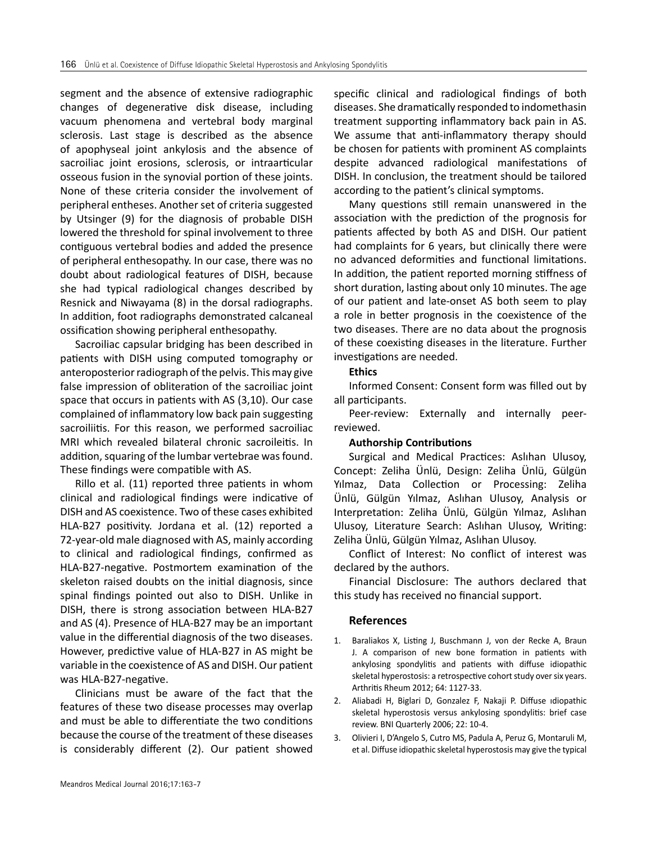segment and the absence of extensive radiographic changes of degenerative disk disease, including vacuum phenomena and vertebral body marginal sclerosis. Last stage is described as the absence of apophyseal joint ankylosis and the absence of sacroiliac joint erosions, sclerosis, or intraarticular osseous fusion in the synovial portion of these joints. None of these criteria consider the involvement of peripheral entheses. Another set of criteria suggested by Utsinger (9) for the diagnosis of probable DISH lowered the threshold for spinal involvement to three contiguous vertebral bodies and added the presence of peripheral enthesopathy. In our case, there was no doubt about radiological features of DISH, because she had typical radiological changes described by Resnick and Niwayama (8) in the dorsal radiographs. In addition, foot radiographs demonstrated calcaneal ossification showing peripheral enthesopathy.

Sacroiliac capsular bridging has been described in patients with DISH using computed tomography or anteroposterior radiograph of the pelvis. This may give false impression of obliteration of the sacroiliac joint space that occurs in patients with AS (3,10). Our case complained of inflammatory low back pain suggesting sacroiliitis. For this reason, we performed sacroiliac MRI which revealed bilateral chronic sacroileitis. In addition, squaring of the lumbar vertebrae was found. These findings were compatible with AS.

Rillo et al. (11) reported three patients in whom clinical and radiological findings were indicative of DISH and AS coexistence. Two of these cases exhibited HLA-B27 positivity. Jordana et al. (12) reported a 72-year-old male diagnosed with AS, mainly according to clinical and radiological findings, confirmed as HLA-B27-negative. Postmortem examination of the skeleton raised doubts on the initial diagnosis, since spinal findings pointed out also to DISH. Unlike in DISH, there is strong association between HLA-B27 and AS (4). Presence of HLA-B27 may be an important value in the differential diagnosis of the two diseases. However, predictive value of HLA-B27 in AS might be variable in the coexistence of AS and DISH. Our patient was HLA-B27-negative.

Clinicians must be aware of the fact that the features of these two disease processes may overlap and must be able to differentiate the two conditions because the course of the treatment of these diseases is considerably different (2). Our patient showed

specific clinical and radiological findings of both diseases. She dramatically responded to indomethasin treatment supporting inflammatory back pain in AS. We assume that anti-inflammatory therapy should be chosen for patients with prominent AS complaints despite advanced radiological manifestations of DISH. In conclusion, the treatment should be tailored according to the patient's clinical symptoms.

Many questions still remain unanswered in the association with the prediction of the prognosis for patients affected by both AS and DISH. Our patient had complaints for 6 years, but clinically there were no advanced deformities and functional limitations. In addition, the patient reported morning stiffness of short duration, lasting about only 10 minutes. The age of our patient and late-onset AS both seem to play a role in better prognosis in the coexistence of the two diseases. There are no data about the prognosis of these coexisting diseases in the literature. Further investigations are needed.

#### **Ethics**

Informed Consent: Consent form was filled out by all participants.

Peer-review: Externally and internally peerreviewed.

#### **Authorship Contributions**

Surgical and Medical Practices: Aslıhan Ulusoy, Concept: Zeliha Ünlü, Design: Zeliha Ünlü, Gülgün Yılmaz, Data Collection or Processing: Zeliha Ünlü, Gülgün Yılmaz, Aslıhan Ulusoy, Analysis or Interpretation: Zeliha Ünlü, Gülgün Yılmaz, Aslıhan Ulusoy, Literature Search: Aslıhan Ulusoy, Writing: Zeliha Ünlü, Gülgün Yılmaz, Aslıhan Ulusoy.

Conflict of Interest: No conflict of interest was declared by the authors.

Financial Disclosure: The authors declared that this study has received no financial support.

## **References**

- 1. Baraliakos X, Listing J, Buschmann J, von der Recke A, Braun J. A comparison of new bone formation in patients with ankylosing spondylitis and patients with diffuse idiopathic skeletal hyperostosis: a retrospective cohort study over six years. Arthritis Rheum 2012; 64: 1127-33.
- 2. Aliabadi H, Biglari D, Gonzalez F, Nakaji P. Diffuse ıdiopathic skeletal hyperostosis versus ankylosing spondylitis: brief case review. BNI Quarterly 2006; 22: 10-4.
- 3. Olivieri I, D'Angelo S, Cutro MS, Padula A, Peruz G, Montaruli M, et al. Diffuse idiopathic skeletal hyperostosis may give the typical